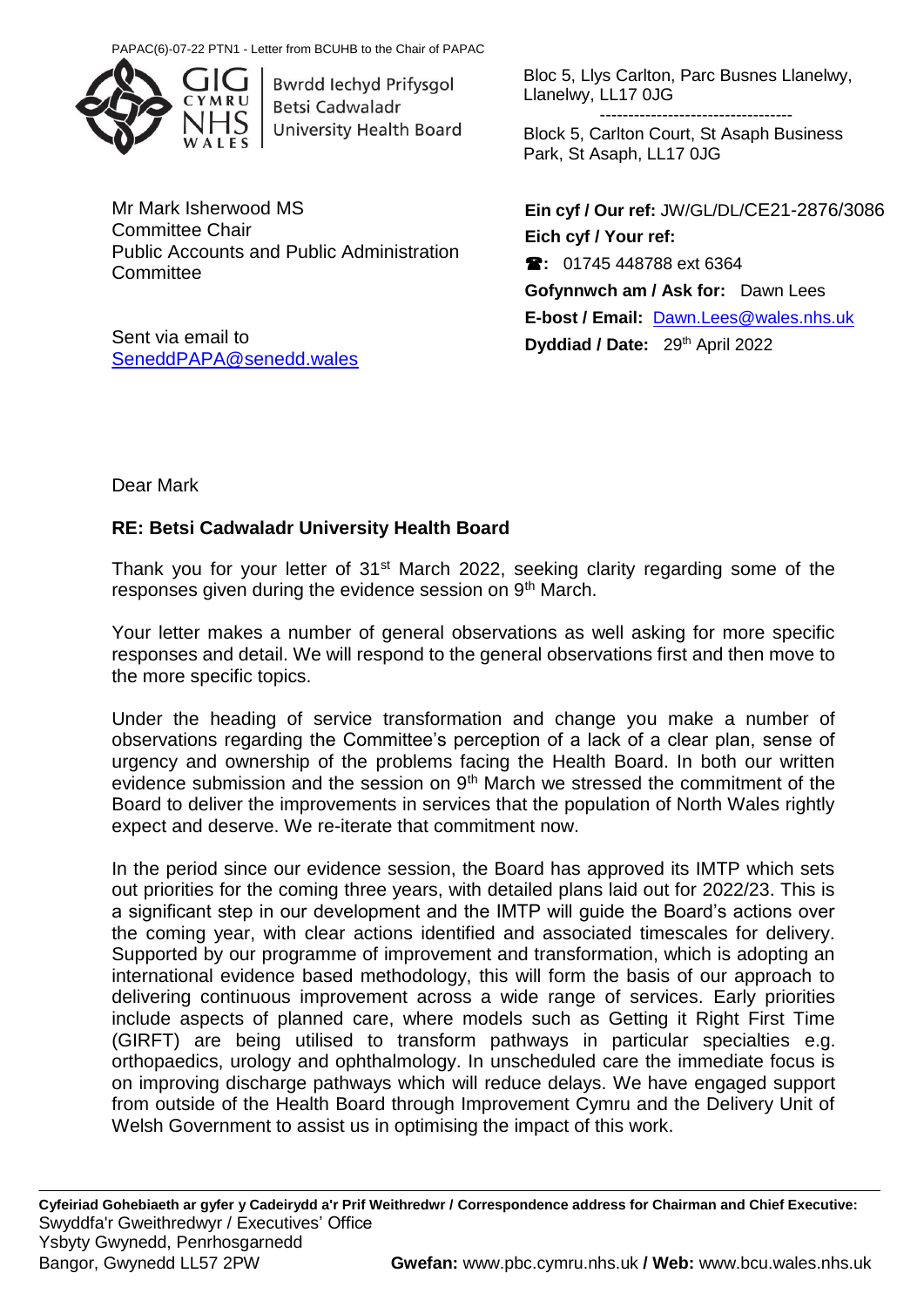

Bwrdd Iechyd Prifysgol **Betsi Cadwaladr University Health Board** 

Mr Mark Isherwood MS Committee Chair Public Accounts and Public Administration **Committee** 

Sent via email to [SeneddPAPA@senedd.wales](mailto:SeneddPAPA@senedd.wales) Bloc 5, Llys Carlton, Parc Busnes Llanelwy, Llanelwy, LL17 0JG

----------------------------------

Block 5, Carlton Court, St Asaph Business Park, St Asaph, LL17 0JG

**Ein cyf / Our ref:** JW/GL/DL/CE21-2876/3086 **Eich cyf / Your ref: :** 01745 448788 ext 6364 **Gofynnwch am / Ask for:** Dawn Lees **E-bost / Email:** [Dawn.Lees@wales.nhs.uk](mailto:Dawn.Lees@wales.nhs.uk) **Dyddiad / Date:** 29<sup>th</sup> April 2022

Dear Mark

# **RE: Betsi Cadwaladr University Health Board**

Thank you for your letter of 31<sup>st</sup> March 2022, seeking clarity regarding some of the responses given during the evidence session on 9<sup>th</sup> March.

Your letter makes a number of general observations as well asking for more specific responses and detail. We will respond to the general observations first and then move to the more specific topics.

Under the heading of service transformation and change you make a number of observations regarding the Committee's perception of a lack of a clear plan, sense of urgency and ownership of the problems facing the Health Board. In both our written evidence submission and the session on 9<sup>th</sup> March we stressed the commitment of the Board to deliver the improvements in services that the population of North Wales rightly expect and deserve. We re-iterate that commitment now.

In the period since our evidence session, the Board has approved its IMTP which sets out priorities for the coming three years, with detailed plans laid out for 2022/23. This is a significant step in our development and the IMTP will guide the Board's actions over the coming year, with clear actions identified and associated timescales for delivery. Supported by our programme of improvement and transformation, which is adopting an international evidence based methodology, this will form the basis of our approach to delivering continuous improvement across a wide range of services. Early priorities include aspects of planned care, where models such as Getting it Right First Time (GIRFT) are being utilised to transform pathways in particular specialties e.g. orthopaedics, urology and ophthalmology. In unscheduled care the immediate focus is on improving discharge pathways which will reduce delays. We have engaged support from outside of the Health Board through Improvement Cymru and the Delivery Unit of Welsh Government to assist us in optimising the impact of this work.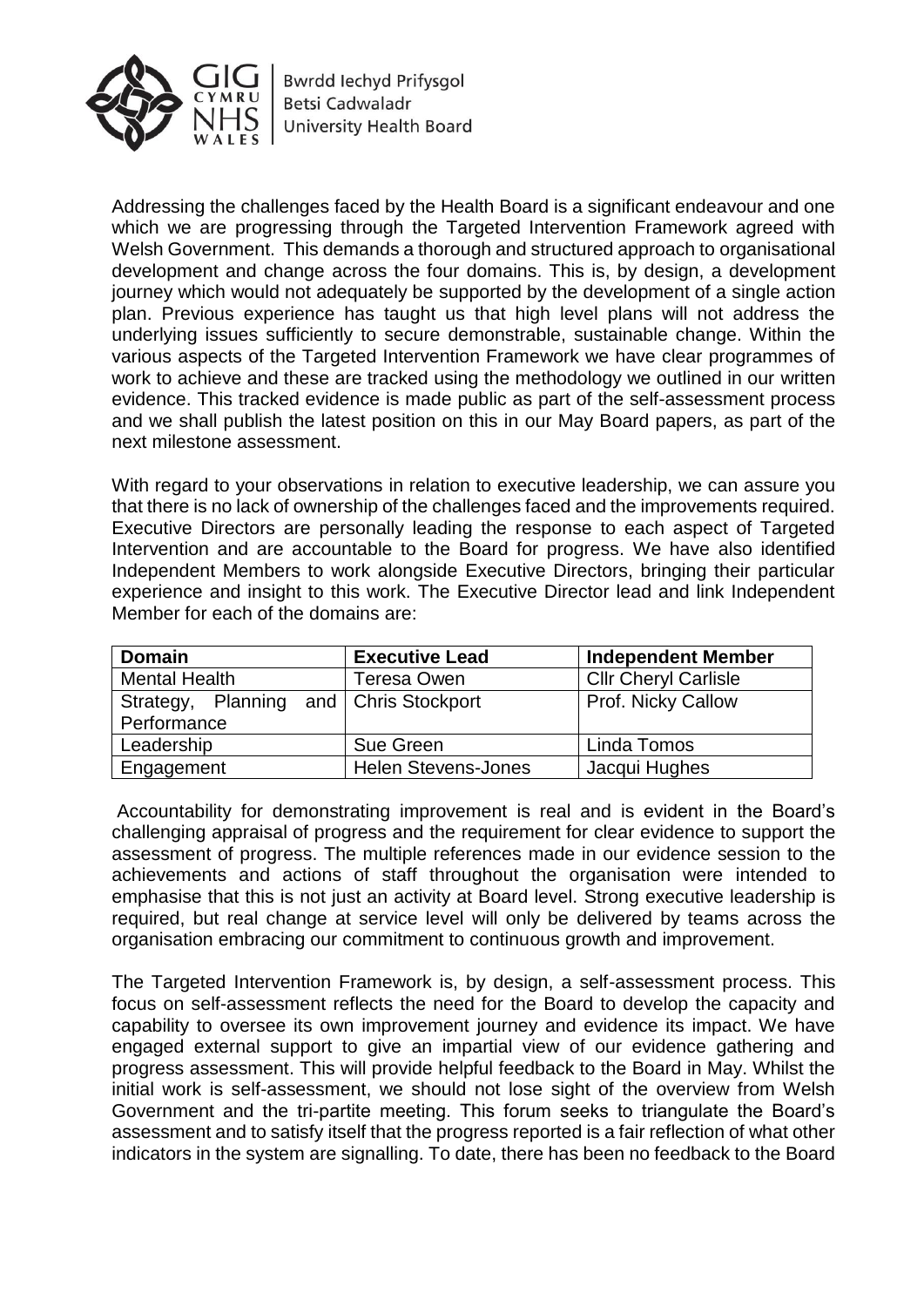

**Bwrdd lechyd Prifysgol Betsi Cadwaladr University Health Board** 

Addressing the challenges faced by the Health Board is a significant endeavour and one which we are progressing through the Targeted Intervention Framework agreed with Welsh Government. This demands a thorough and structured approach to organisational development and change across the four domains. This is, by design, a development journey which would not adequately be supported by the development of a single action plan. Previous experience has taught us that high level plans will not address the underlying issues sufficiently to secure demonstrable, sustainable change. Within the various aspects of the Targeted Intervention Framework we have clear programmes of work to achieve and these are tracked using the methodology we outlined in our written evidence. This tracked evidence is made public as part of the self-assessment process and we shall publish the latest position on this in our May Board papers, as part of the next milestone assessment.

With regard to your observations in relation to executive leadership, we can assure you that there is no lack of ownership of the challenges faced and the improvements required. Executive Directors are personally leading the response to each aspect of Targeted Intervention and are accountable to the Board for progress. We have also identified Independent Members to work alongside Executive Directors, bringing their particular experience and insight to this work. The Executive Director lead and link Independent Member for each of the domains are:

| <b>Domain</b>                          | <b>Executive Lead</b>      | <b>Independent Member</b>   |  |
|----------------------------------------|----------------------------|-----------------------------|--|
| <b>Mental Health</b>                   | <b>Teresa Owen</b>         | <b>Cllr Cheryl Carlisle</b> |  |
| Strategy, Planning and Chris Stockport |                            | Prof. Nicky Callow          |  |
| Performance                            |                            |                             |  |
| Leadership                             | Sue Green                  | Linda Tomos                 |  |
| Engagement                             | <b>Helen Stevens-Jones</b> | Jacqui Hughes               |  |

Accountability for demonstrating improvement is real and is evident in the Board's challenging appraisal of progress and the requirement for clear evidence to support the assessment of progress. The multiple references made in our evidence session to the achievements and actions of staff throughout the organisation were intended to emphasise that this is not just an activity at Board level. Strong executive leadership is required, but real change at service level will only be delivered by teams across the organisation embracing our commitment to continuous growth and improvement.

The Targeted Intervention Framework is, by design, a self-assessment process. This focus on self-assessment reflects the need for the Board to develop the capacity and capability to oversee its own improvement journey and evidence its impact. We have engaged external support to give an impartial view of our evidence gathering and progress assessment. This will provide helpful feedback to the Board in May. Whilst the initial work is self-assessment, we should not lose sight of the overview from Welsh Government and the tri-partite meeting. This forum seeks to triangulate the Board's assessment and to satisfy itself that the progress reported is a fair reflection of what other indicators in the system are signalling. To date, there has been no feedback to the Board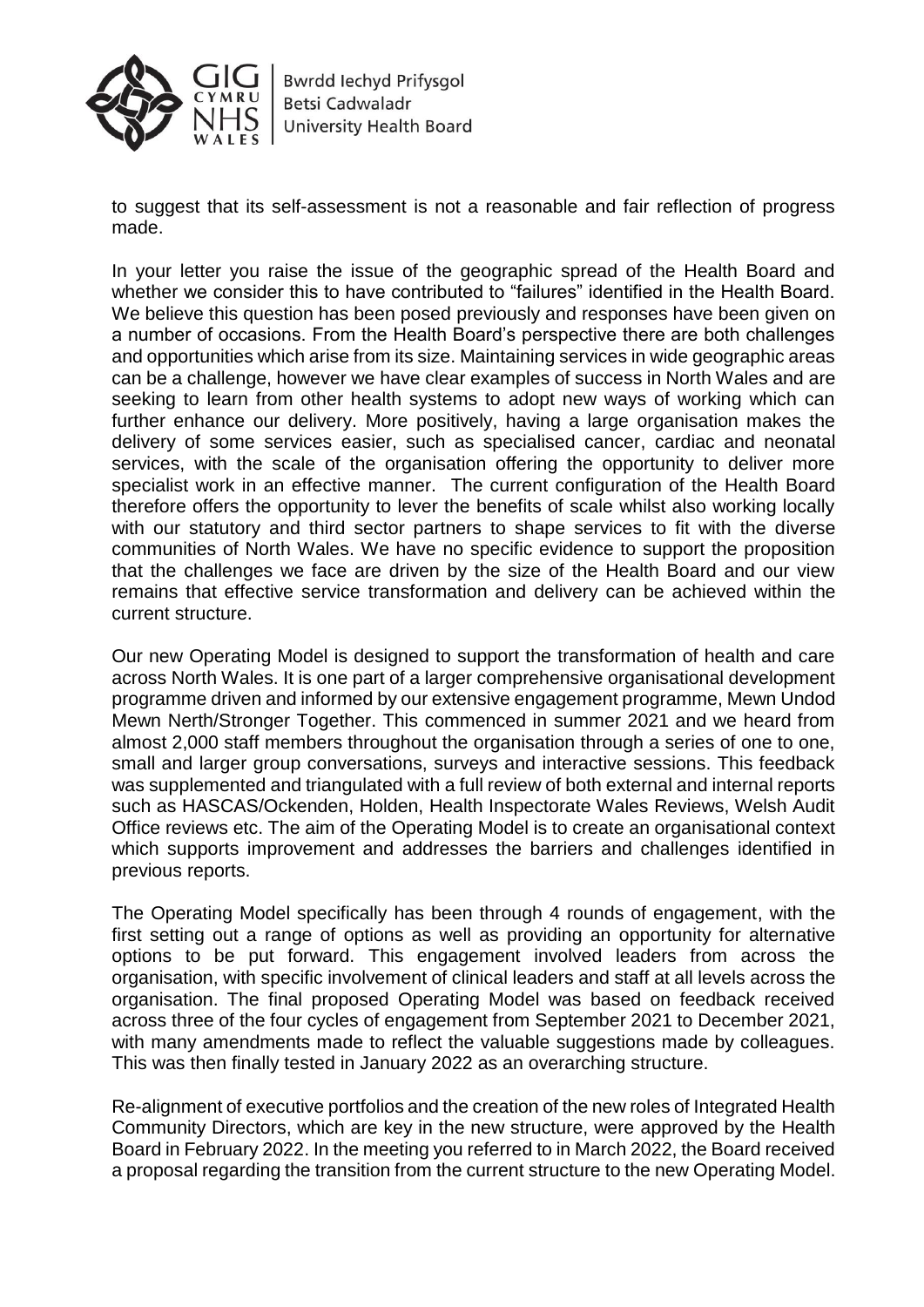

to suggest that its self-assessment is not a reasonable and fair reflection of progress made.

In your letter you raise the issue of the geographic spread of the Health Board and whether we consider this to have contributed to "failures" identified in the Health Board. We believe this question has been posed previously and responses have been given on a number of occasions. From the Health Board's perspective there are both challenges and opportunities which arise from its size. Maintaining services in wide geographic areas can be a challenge, however we have clear examples of success in North Wales and are seeking to learn from other health systems to adopt new ways of working which can further enhance our delivery. More positively, having a large organisation makes the delivery of some services easier, such as specialised cancer, cardiac and neonatal services, with the scale of the organisation offering the opportunity to deliver more specialist work in an effective manner. The current configuration of the Health Board therefore offers the opportunity to lever the benefits of scale whilst also working locally with our statutory and third sector partners to shape services to fit with the diverse communities of North Wales. We have no specific evidence to support the proposition that the challenges we face are driven by the size of the Health Board and our view remains that effective service transformation and delivery can be achieved within the current structure.

Our new Operating Model is designed to support the transformation of health and care across North Wales. It is one part of a larger comprehensive organisational development programme driven and informed by our extensive engagement programme, Mewn Undod Mewn Nerth/Stronger Together. This commenced in summer 2021 and we heard from almost 2,000 staff members throughout the organisation through a series of one to one, small and larger group conversations, surveys and interactive sessions. This feedback was supplemented and triangulated with a full review of both external and internal reports such as HASCAS/Ockenden, Holden, Health Inspectorate Wales Reviews, Welsh Audit Office reviews etc. The aim of the Operating Model is to create an organisational context which supports improvement and addresses the barriers and challenges identified in previous reports.

The Operating Model specifically has been through 4 rounds of engagement, with the first setting out a range of options as well as providing an opportunity for alternative options to be put forward. This engagement involved leaders from across the organisation, with specific involvement of clinical leaders and staff at all levels across the organisation. The final proposed Operating Model was based on feedback received across three of the four cycles of engagement from September 2021 to December 2021, with many amendments made to reflect the valuable suggestions made by colleagues. This was then finally tested in January 2022 as an overarching structure.

Re-alignment of executive portfolios and the creation of the new roles of Integrated Health Community Directors, which are key in the new structure, were approved by the Health Board in February 2022. In the meeting you referred to in March 2022, the Board received a proposal regarding the transition from the current structure to the new Operating Model.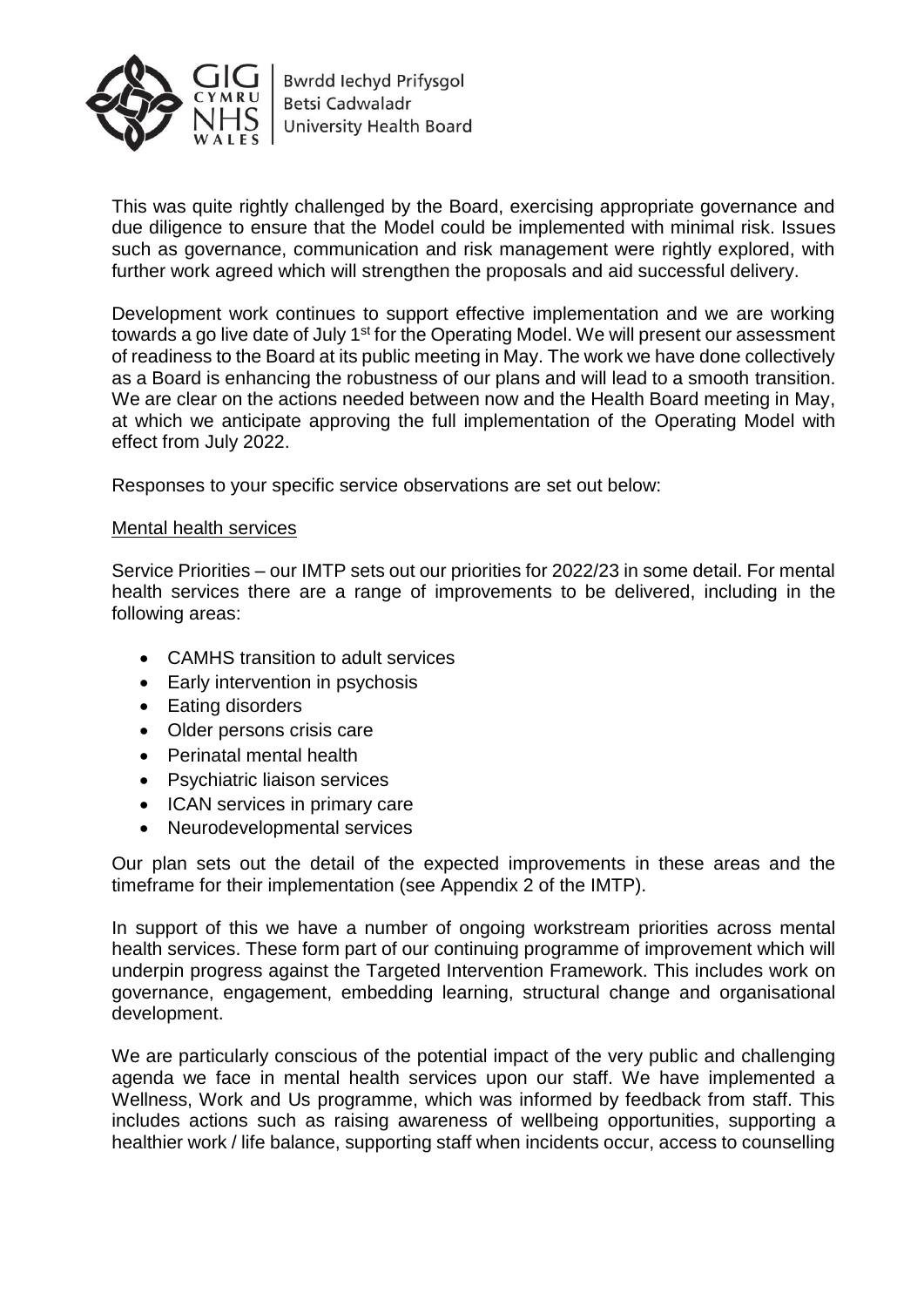

This was quite rightly challenged by the Board, exercising appropriate governance and due diligence to ensure that the Model could be implemented with minimal risk. Issues such as governance, communication and risk management were rightly explored, with further work agreed which will strengthen the proposals and aid successful delivery.

Development work continues to support effective implementation and we are working towards a go live date of July 1<sup>st</sup> for the Operating Model. We will present our assessment of readiness to the Board at its public meeting in May. The work we have done collectively as a Board is enhancing the robustness of our plans and will lead to a smooth transition. We are clear on the actions needed between now and the Health Board meeting in May, at which we anticipate approving the full implementation of the Operating Model with effect from July 2022.

Responses to your specific service observations are set out below:

#### Mental health services

Service Priorities – our IMTP sets out our priorities for 2022/23 in some detail. For mental health services there are a range of improvements to be delivered, including in the following areas:

- CAMHS transition to adult services
- Early intervention in psychosis
- Eating disorders
- Older persons crisis care
- Perinatal mental health
- Psychiatric liaison services
- ICAN services in primary care
- Neurodevelopmental services

Our plan sets out the detail of the expected improvements in these areas and the timeframe for their implementation (see Appendix 2 of the IMTP).

In support of this we have a number of ongoing workstream priorities across mental health services. These form part of our continuing programme of improvement which will underpin progress against the Targeted Intervention Framework. This includes work on governance, engagement, embedding learning, structural change and organisational development.

We are particularly conscious of the potential impact of the very public and challenging agenda we face in mental health services upon our staff. We have implemented a Wellness, Work and Us programme, which was informed by feedback from staff. This includes actions such as raising awareness of wellbeing opportunities, supporting a healthier work / life balance, supporting staff when incidents occur, access to counselling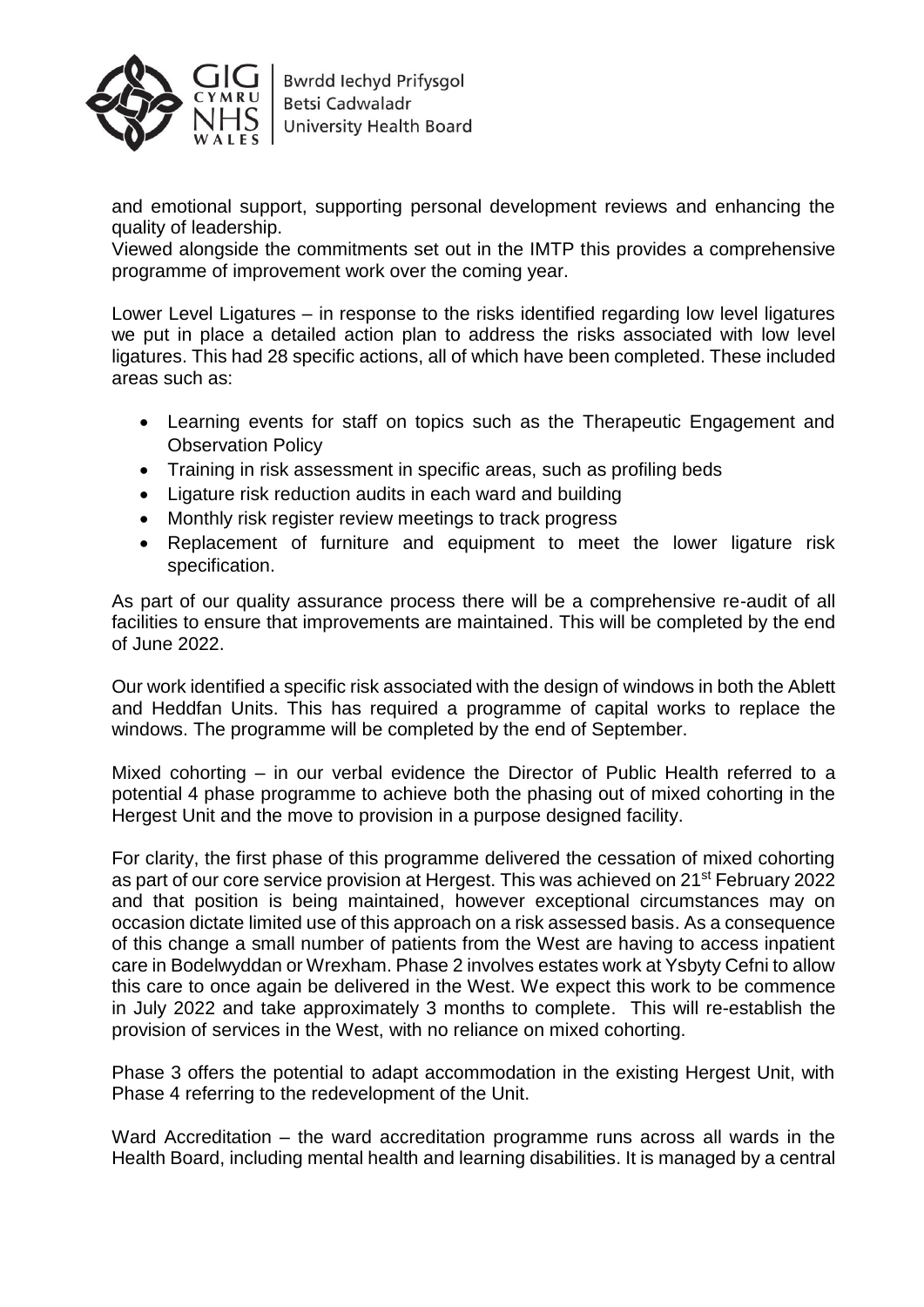

and emotional support, supporting personal development reviews and enhancing the quality of leadership.

Viewed alongside the commitments set out in the IMTP this provides a comprehensive programme of improvement work over the coming year.

Lower Level Ligatures – in response to the risks identified regarding low level ligatures we put in place a detailed action plan to address the risks associated with low level ligatures. This had 28 specific actions, all of which have been completed. These included areas such as:

- Learning events for staff on topics such as the Therapeutic Engagement and Observation Policy
- Training in risk assessment in specific areas, such as profiling beds
- Ligature risk reduction audits in each ward and building
- Monthly risk register review meetings to track progress
- Replacement of furniture and equipment to meet the lower ligature risk specification.

As part of our quality assurance process there will be a comprehensive re-audit of all facilities to ensure that improvements are maintained. This will be completed by the end of June 2022.

Our work identified a specific risk associated with the design of windows in both the Ablett and Heddfan Units. This has required a programme of capital works to replace the windows. The programme will be completed by the end of September.

Mixed cohorting – in our verbal evidence the Director of Public Health referred to a potential 4 phase programme to achieve both the phasing out of mixed cohorting in the Hergest Unit and the move to provision in a purpose designed facility.

For clarity, the first phase of this programme delivered the cessation of mixed cohorting as part of our core service provision at Hergest. This was achieved on 21st February 2022 and that position is being maintained, however exceptional circumstances may on occasion dictate limited use of this approach on a risk assessed basis. As a consequence of this change a small number of patients from the West are having to access inpatient care in Bodelwyddan or Wrexham. Phase 2 involves estates work at Ysbyty Cefni to allow this care to once again be delivered in the West. We expect this work to be commence in July 2022 and take approximately 3 months to complete. This will re-establish the provision of services in the West, with no reliance on mixed cohorting.

Phase 3 offers the potential to adapt accommodation in the existing Hergest Unit, with Phase 4 referring to the redevelopment of the Unit.

Ward Accreditation – the ward accreditation programme runs across all wards in the Health Board, including mental health and learning disabilities. It is managed by a central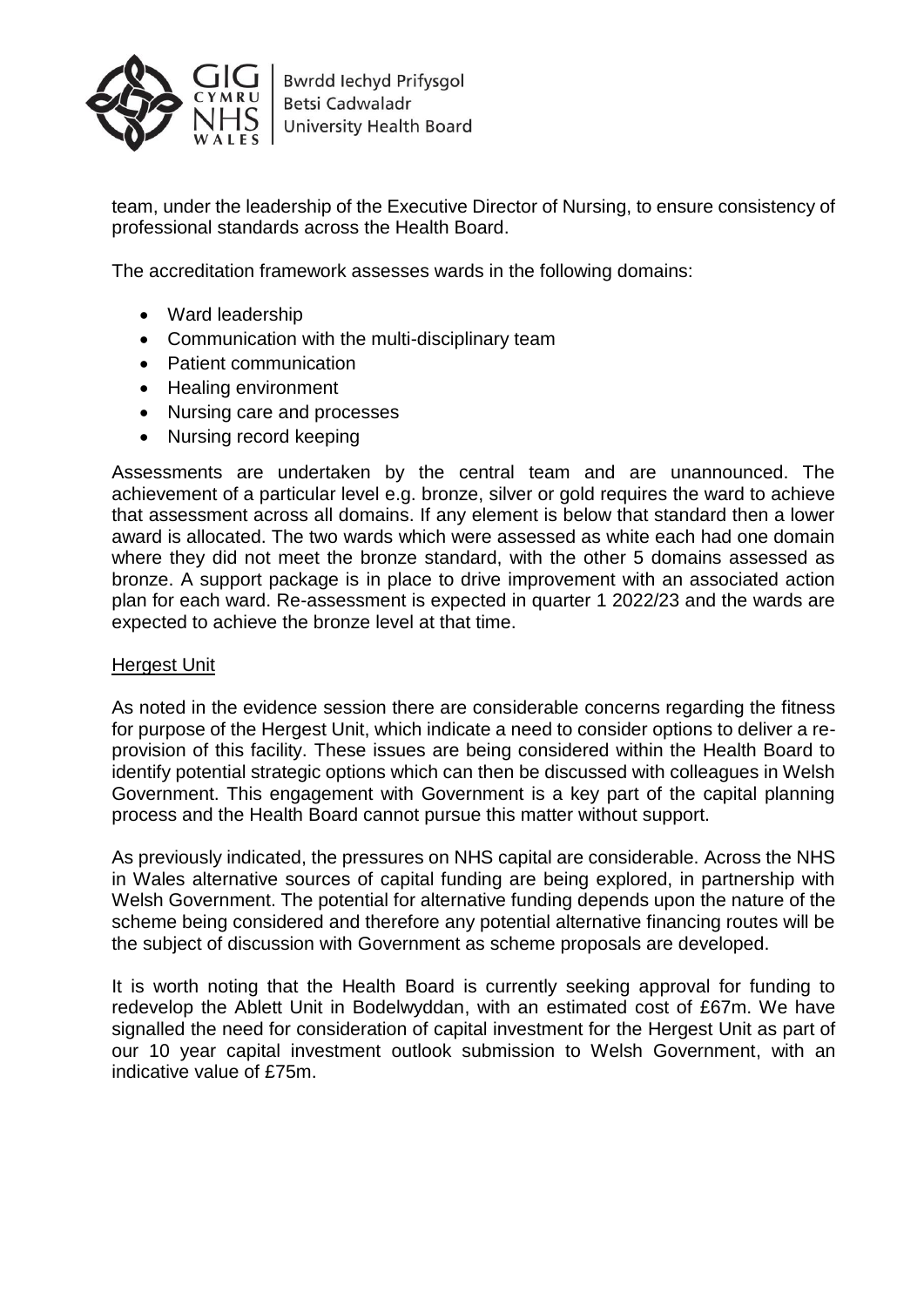

team, under the leadership of the Executive Director of Nursing, to ensure consistency of professional standards across the Health Board.

The accreditation framework assesses wards in the following domains:

- Ward leadership
- Communication with the multi-disciplinary team
- Patient communication
- Healing environment
- Nursing care and processes
- Nursing record keeping

Assessments are undertaken by the central team and are unannounced. The achievement of a particular level e.g. bronze, silver or gold requires the ward to achieve that assessment across all domains. If any element is below that standard then a lower award is allocated. The two wards which were assessed as white each had one domain where they did not meet the bronze standard, with the other 5 domains assessed as bronze. A support package is in place to drive improvement with an associated action plan for each ward. Re-assessment is expected in quarter 1 2022/23 and the wards are expected to achieve the bronze level at that time.

### Hergest Unit

As noted in the evidence session there are considerable concerns regarding the fitness for purpose of the Hergest Unit, which indicate a need to consider options to deliver a reprovision of this facility. These issues are being considered within the Health Board to identify potential strategic options which can then be discussed with colleagues in Welsh Government. This engagement with Government is a key part of the capital planning process and the Health Board cannot pursue this matter without support.

As previously indicated, the pressures on NHS capital are considerable. Across the NHS in Wales alternative sources of capital funding are being explored, in partnership with Welsh Government. The potential for alternative funding depends upon the nature of the scheme being considered and therefore any potential alternative financing routes will be the subject of discussion with Government as scheme proposals are developed.

It is worth noting that the Health Board is currently seeking approval for funding to redevelop the Ablett Unit in Bodelwyddan, with an estimated cost of £67m. We have signalled the need for consideration of capital investment for the Hergest Unit as part of our 10 year capital investment outlook submission to Welsh Government, with an indicative value of £75m.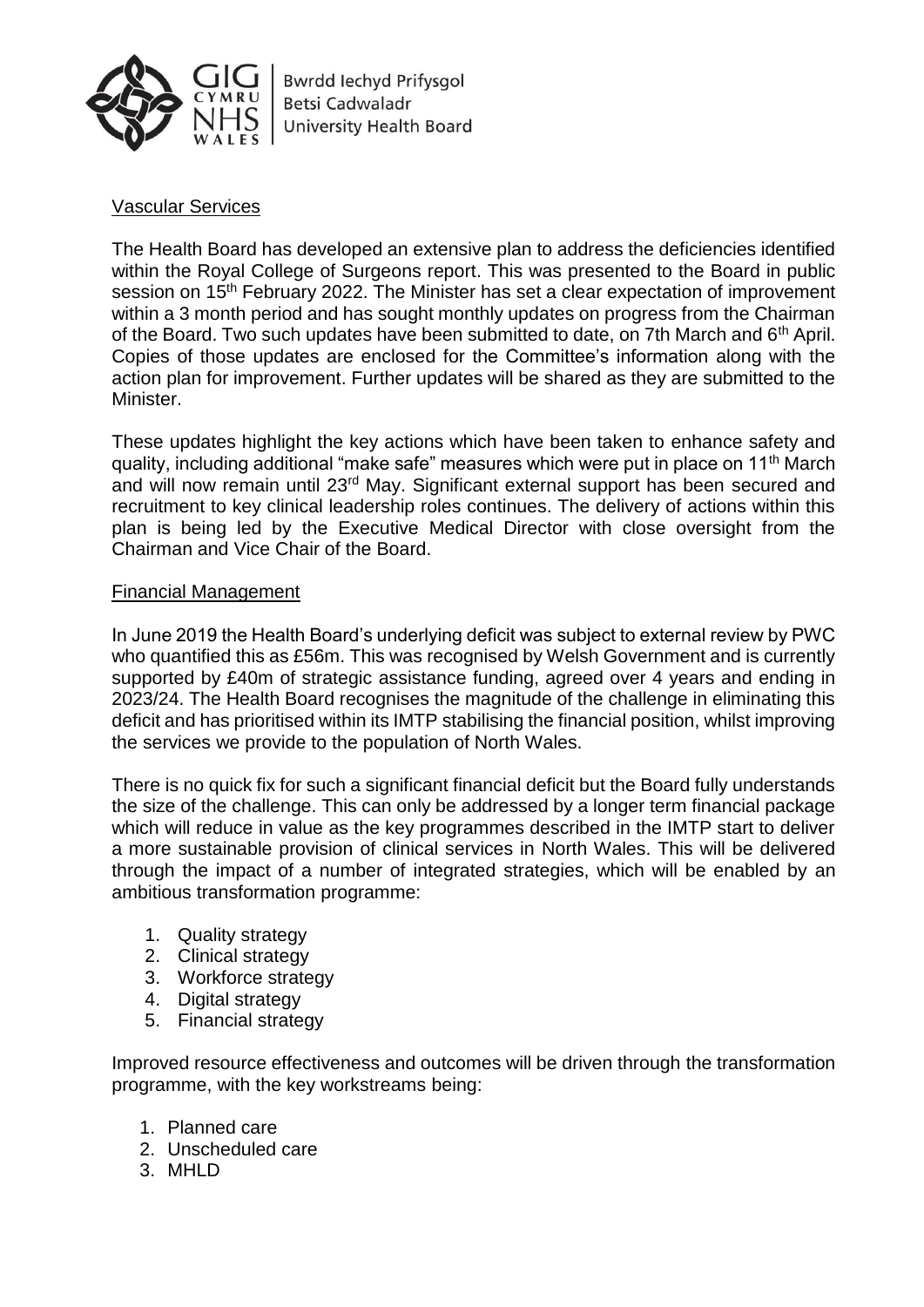

**Bwrdd lechyd Prifysgol Betsi Cadwaladr University Health Board** 

# Vascular Services

The Health Board has developed an extensive plan to address the deficiencies identified within the Royal College of Surgeons report. This was presented to the Board in public session on 15<sup>th</sup> February 2022. The Minister has set a clear expectation of improvement within a 3 month period and has sought monthly updates on progress from the Chairman of the Board. Two such updates have been submitted to date, on 7th March and 6<sup>th</sup> April. Copies of those updates are enclosed for the Committee's information along with the action plan for improvement. Further updates will be shared as they are submitted to the Minister.

These updates highlight the key actions which have been taken to enhance safety and quality, including additional "make safe" measures which were put in place on 11th March and will now remain until 23<sup>rd</sup> May. Significant external support has been secured and recruitment to key clinical leadership roles continues. The delivery of actions within this plan is being led by the Executive Medical Director with close oversight from the Chairman and Vice Chair of the Board.

### Financial Management

In June 2019 the Health Board's underlying deficit was subject to external review by PWC who quantified this as £56m. This was recognised by Welsh Government and is currently supported by £40m of strategic assistance funding, agreed over 4 years and ending in 2023/24. The Health Board recognises the magnitude of the challenge in eliminating this deficit and has prioritised within its IMTP stabilising the financial position, whilst improving the services we provide to the population of North Wales.

There is no quick fix for such a significant financial deficit but the Board fully understands the size of the challenge. This can only be addressed by a longer term financial package which will reduce in value as the key programmes described in the IMTP start to deliver a more sustainable provision of clinical services in North Wales. This will be delivered through the impact of a number of integrated strategies, which will be enabled by an ambitious transformation programme:

- 1. Quality strategy
- 2. Clinical strategy
- 3. Workforce strategy
- 4. Digital strategy
- 5. Financial strategy

Improved resource effectiveness and outcomes will be driven through the transformation programme, with the key workstreams being:

- 1. Planned care
- 2. Unscheduled care
- 3. MHLD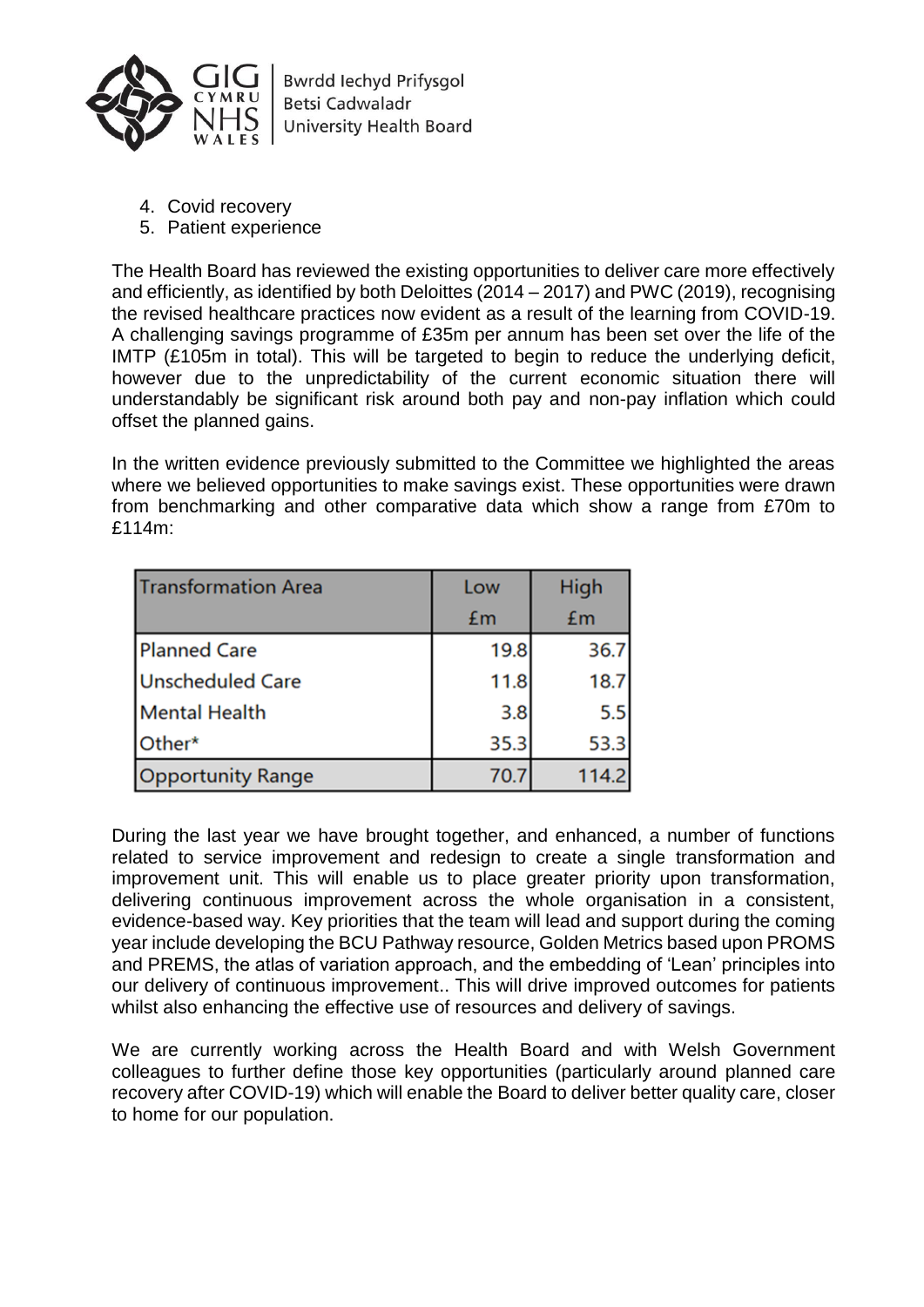

**Bwrdd lechyd Prifysgol** Betsi Cadwaladr University Health Board

- 4. Covid recovery
- 5. Patient experience

The Health Board has reviewed the existing opportunities to deliver care more effectively and efficiently, as identified by both Deloittes (2014 – 2017) and PWC (2019), recognising the revised healthcare practices now evident as a result of the learning from COVID-19. A challenging savings programme of £35m per annum has been set over the life of the IMTP (£105m in total). This will be targeted to begin to reduce the underlying deficit, however due to the unpredictability of the current economic situation there will understandably be significant risk around both pay and non-pay inflation which could offset the planned gains.

In the written evidence previously submitted to the Committee we highlighted the areas where we believed opportunities to make savings exist. These opportunities were drawn from benchmarking and other comparative data which show a range from £70m to £114m:

| <b>Transformation Area</b> | Low  | High  |
|----------------------------|------|-------|
|                            | £m   | £m    |
| <b>Planned Care</b>        | 19.8 | 36.7  |
| Unscheduled Care           | 11.8 | 18.7  |
| <b>Mental Health</b>       | 3.8  | 5.5   |
| Other*                     | 35.3 | 53.3  |
| <b>Opportunity Range</b>   | 70.7 | 114.2 |

During the last year we have brought together, and enhanced, a number of functions related to service improvement and redesign to create a single transformation and improvement unit. This will enable us to place greater priority upon transformation, delivering continuous improvement across the whole organisation in a consistent, evidence-based way. Key priorities that the team will lead and support during the coming year include developing the BCU Pathway resource, Golden Metrics based upon PROMS and PREMS, the atlas of variation approach, and the embedding of 'Lean' principles into our delivery of continuous improvement.. This will drive improved outcomes for patients whilst also enhancing the effective use of resources and delivery of savings.

We are currently working across the Health Board and with Welsh Government colleagues to further define those key opportunities (particularly around planned care recovery after COVID-19) which will enable the Board to deliver better quality care, closer to home for our population.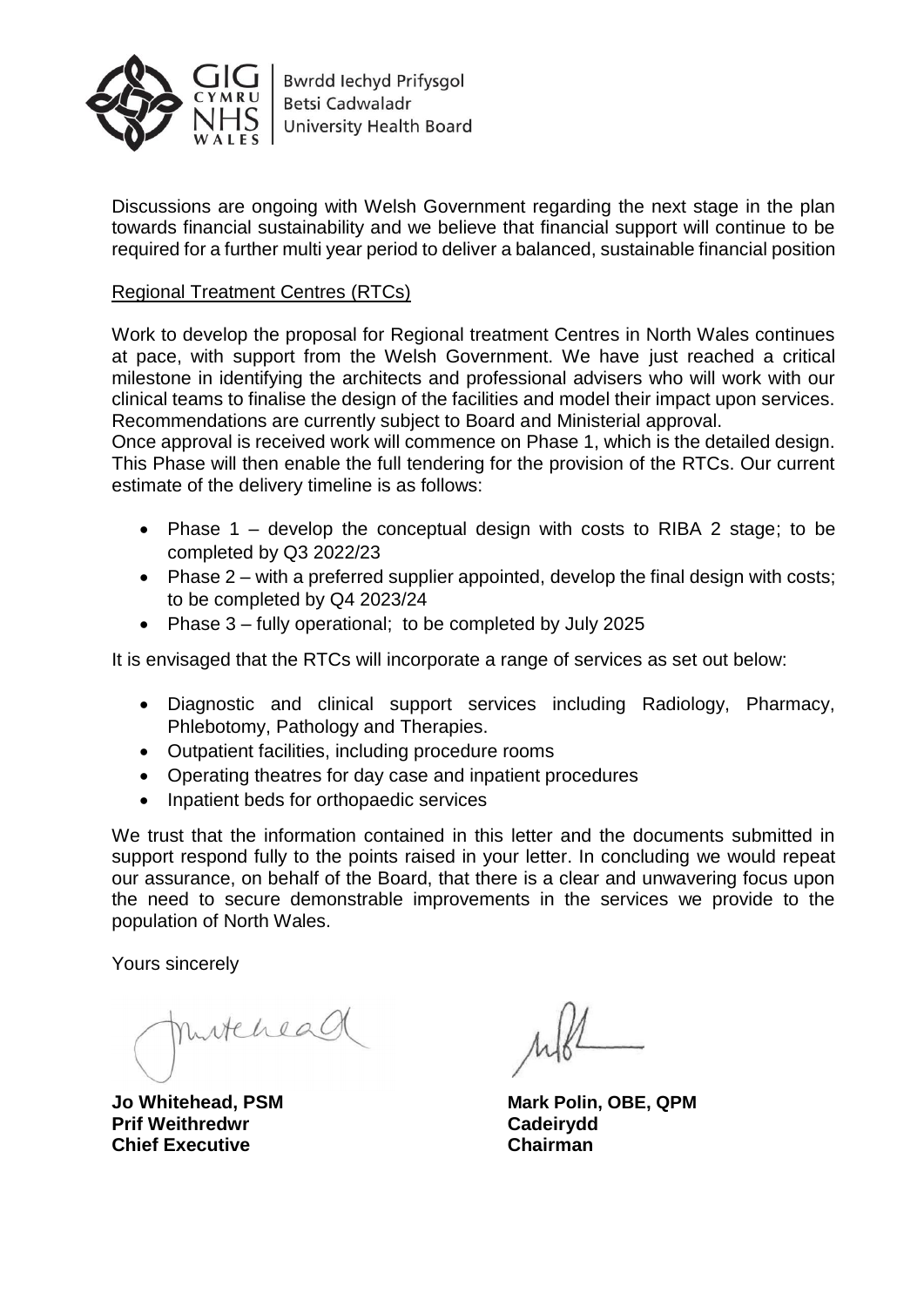

Discussions are ongoing with Welsh Government regarding the next stage in the plan towards financial sustainability and we believe that financial support will continue to be required for a further multi year period to deliver a balanced, sustainable financial position

# Regional Treatment Centres (RTCs)

Work to develop the proposal for Regional treatment Centres in North Wales continues at pace, with support from the Welsh Government. We have just reached a critical milestone in identifying the architects and professional advisers who will work with our clinical teams to finalise the design of the facilities and model their impact upon services. Recommendations are currently subject to Board and Ministerial approval.

Once approval is received work will commence on Phase 1, which is the detailed design. This Phase will then enable the full tendering for the provision of the RTCs. Our current estimate of the delivery timeline is as follows:

- Phase  $1$  develop the conceptual design with costs to RIBA 2 stage; to be completed by Q3 2022/23
- Phase 2 with a preferred supplier appointed, develop the final design with costs; to be completed by Q4 2023/24
- Phase  $3 -$  fully operational; to be completed by July 2025

It is envisaged that the RTCs will incorporate a range of services as set out below:

- Diagnostic and clinical support services including Radiology, Pharmacy, Phlebotomy, Pathology and Therapies.
- Outpatient facilities, including procedure rooms
- Operating theatres for day case and inpatient procedures
- Inpatient beds for orthopaedic services

We trust that the information contained in this letter and the documents submitted in support respond fully to the points raised in your letter. In concluding we would repeat our assurance, on behalf of the Board, that there is a clear and unwavering focus upon the need to secure demonstrable improvements in the services we provide to the population of North Wales.

Yours sincerely

mitchead

**Prif Weithredwr Cadeirydd Chief Executive Chairman**

**Jo Whitehead, PSM Mark Polin, OBE, QPM**